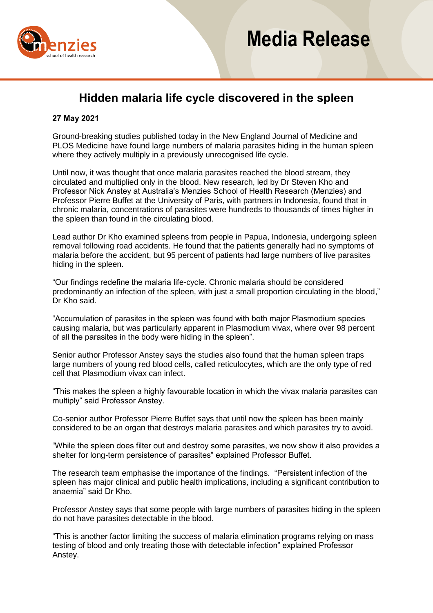

# **Hidden malaria life cycle discovered in the spleen**

## **27 May 2021**

Ground-breaking studies published today in the New England Journal of Medicine and PLOS Medicine have found large numbers of malaria parasites hiding in the human spleen where they actively multiply in a previously unrecognised life cycle.

Until now, it was thought that once malaria parasites reached the blood stream, they circulated and multiplied only in the blood. New research, led by Dr Steven Kho and Professor Nick Anstey at Australia's Menzies School of Health Research (Menzies) and Professor Pierre Buffet at the University of Paris, with partners in Indonesia, found that in chronic malaria, concentrations of parasites were hundreds to thousands of times higher in the spleen than found in the circulating blood.

Lead author Dr Kho examined spleens from people in Papua, Indonesia, undergoing spleen removal following road accidents. He found that the patients generally had no symptoms of malaria before the accident, but 95 percent of patients had large numbers of live parasites hiding in the spleen.

"Our findings redefine the malaria life-cycle. Chronic malaria should be considered predominantly an infection of the spleen, with just a small proportion circulating in the blood," Dr Kho said.

"Accumulation of parasites in the spleen was found with both major Plasmodium species causing malaria, but was particularly apparent in Plasmodium vivax, where over 98 percent of all the parasites in the body were hiding in the spleen".

Senior author Professor Anstey says the studies also found that the human spleen traps large numbers of young red blood cells, called reticulocytes, which are the only type of red cell that Plasmodium vivax can infect.

"This makes the spleen a highly favourable location in which the vivax malaria parasites can multiply" said Professor Anstey.

Co-senior author Professor Pierre Buffet says that until now the spleen has been mainly considered to be an organ that destroys malaria parasites and which parasites try to avoid.

"While the spleen does filter out and destroy some parasites, we now show it also provides a shelter for long-term persistence of parasites" explained Professor Buffet.

The research team emphasise the importance of the findings. "Persistent infection of the spleen has major clinical and public health implications, including a significant contribution to anaemia" said Dr Kho.

Professor Anstey says that some people with large numbers of parasites hiding in the spleen do not have parasites detectable in the blood.

"This is another factor limiting the success of malaria elimination programs relying on mass testing of blood and only treating those with detectable infection" explained Professor Anstey.